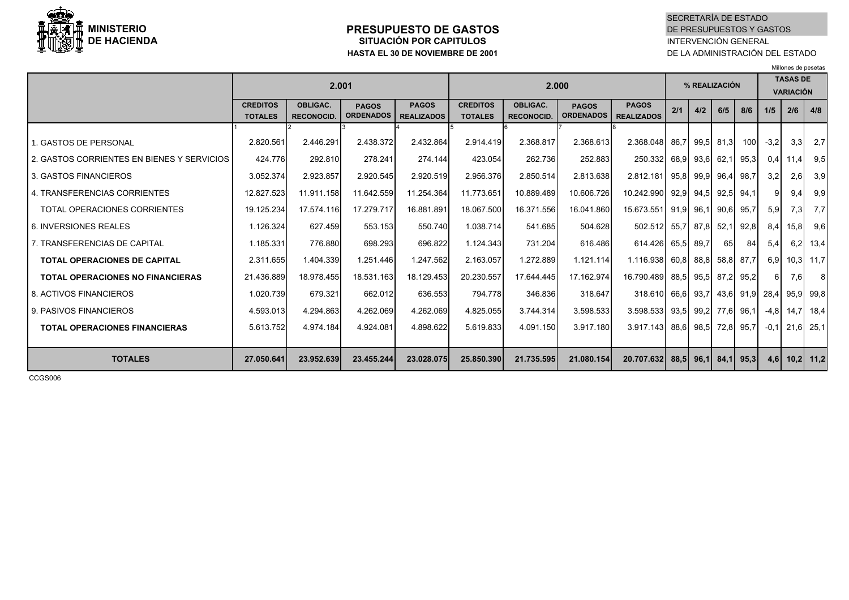

### **PRESUPUESTO DE GASTOSSITUACIÓN POR CAPITULOS HASTA EL 30 DE NOVIEMBRE DE 2001**

SECRETARÍA DE ESTADO DE PRESUPUESTOS Y GASTOSINTERVENCIÓN GENERAL DE LA ADMINISTRACIÓN DEL ESTADO

Millones de pesetas

|                                            | 2.001                             |                                     |                                  |                                   | 2.000                             |                                      |                                  |                                   |     | % REALIZACIÓN |                |      |                     | <b>TASAS DE</b><br><b>VARIACIÓN</b> |                 |  |
|--------------------------------------------|-----------------------------------|-------------------------------------|----------------------------------|-----------------------------------|-----------------------------------|--------------------------------------|----------------------------------|-----------------------------------|-----|---------------|----------------|------|---------------------|-------------------------------------|-----------------|--|
|                                            | <b>CREDITOS</b><br><b>TOTALES</b> | <b>OBLIGAC.</b><br><b>RECONOCID</b> | <b>PAGOS</b><br><b>ORDENADOS</b> | <b>PAGOS</b><br><b>REALIZADOS</b> | <b>CREDITOS</b><br><b>TOTALES</b> | <b>OBLIGAC.</b><br><b>RECONOCID.</b> | <b>PAGOS</b><br><b>ORDENADOS</b> | <b>PAGOS</b><br><b>REALIZADOS</b> | 2/1 | 4/2           | 6/5            | 8/6  | 1/5                 | 2/6                                 | 4/8             |  |
|                                            |                                   |                                     |                                  |                                   |                                   |                                      |                                  |                                   |     |               |                |      |                     |                                     |                 |  |
| 1. GASTOS DE PERSONAL                      | 2.820.561                         | 2.446.291                           | 2.438.372                        | 2.432.864                         | 2.914.419                         | 2.368.817                            | 2.368.613                        | 2.368.048 86.7                    |     |               | 99,5 81,3      | 100  | $-3,2$              | 3,3                                 | 2,7             |  |
| 2. GASTOS CORRIENTES EN BIENES Y SERVICIOS | 424.776                           | 292.810                             | 278.241                          | 274.144                           | 423.054                           | 262.736                              | 252.883                          | 250.332 68,9                      |     |               | $93,6$ 62,1    | 95,3 | 0,4                 | 11,4                                | 9,5             |  |
| 3. GASTOS FINANCIEROS                      | 3.052.374                         | 2.923.857                           | 2.920.545                        | 2.920.519                         | 2.956.376                         | 2.850.514                            | 2.813.638                        | 2.812.181 95.8                    |     |               | 99,9 96,4 98,7 |      | 3,2                 | 2,6                                 | 3,9             |  |
| 4. TRANSFERENCIAS CORRIENTES               | 12.827.523                        | 11.911.158                          | 11.642.559                       | 11.254.364                        | 11.773.651                        | 10.889.489                           | 10.606.726                       | 10.242.990 92,9                   |     |               | 94,5 92,5      | 94,1 | 9                   | 9,4                                 | 9,9             |  |
| TOTAL OPERACIONES CORRIENTES               | 19.125.234                        | 17.574.116                          | 17.279.717                       | 16.881.891                        | 18.067.500                        | 16.371.556                           | 16.041.860                       | 15.673.551 91,9                   |     |               | 96,1 90,6      | 95,7 | 5,9                 | 7.3                                 | 7,7             |  |
| 6. INVERSIONES REALES                      | 1.126.324                         | 627.459                             | 553.153                          | 550.740                           | 1.038.714                         | 541.685                              | 504.628                          | 502.512 55,7 87,8 52,1            |     |               |                | 92,8 | 8,4                 | 15,8                                | 9,6             |  |
| 7. TRANSFERENCIAS DE CAPITAL               | 1.185.331                         | 776.880                             | 698.293                          | 696.822                           | 1.124.343                         | 731.204                              | 616.486                          | 614.426 65,5                      |     | 89,7          | 65             | 84   | 5,4                 | 6,2                                 | 13,4            |  |
| <b>TOTAL OPERACIONES DE CAPITAL</b>        | 2.311.655                         | 1.404.339                           | 1.251.446                        | 1.247.562                         | 2.163.057                         | 1.272.889                            | 1.121.114                        | 1.116.938 60.8                    |     |               | 88,8 58,8 87,7 |      | 6,9                 |                                     | $10,3$ 11,7     |  |
| <b>TOTAL OPERACIONES NO FINANCIERAS</b>    | 21.436.889                        | 18.978.455                          | 18.531.163                       | 18.129.453                        | 20.230.557                        | 17.644.445                           | 17.162.974                       | 16.790.489 88,5 95,5 87,2 95,2    |     |               |                |      | -61                 | 7,6                                 | 8               |  |
| 8. ACTIVOS FINANCIEROS                     | 1.020.739                         | 679.321                             | 662.012                          | 636.553                           | 794.778                           | 346.836                              | 318.647                          | 318.610 66,6                      |     |               |                |      | 93,7 43,6 91,9 28,4 |                                     | 95,9 99,8       |  |
| 9. PASIVOS FINANCIEROS                     | 4.593.013                         | 4.294.863                           | 4.262.069                        | 4.262.069                         | 4.825.055                         | 3.744.314                            | 3.598.533                        | 3.598.533 93,5                    |     |               | 99,2 77,6 96,1 |      | $-4,8$              | 14,7                                | 18,4            |  |
| <b>TOTAL OPERACIONES FINANCIERAS</b>       | 5.613.752                         | 4.974.184                           | 4.924.081                        | 4.898.622                         | 5.619.833                         | 4.091.150                            | 3.917.180                        | 3.917.143 88,6                    |     |               | 98,5 72,8 95,7 |      | $-0,1$              |                                     | $21,6$ 25,1     |  |
| <b>TOTALES</b>                             | 27.050.641                        | 23.952.639                          | 23.455.244                       | 23.028.075                        | 25.850.390                        | 21.735.595                           | 21.080.154                       | 20.707.632 88,5 96,1 84,1         |     |               |                | 95,3 |                     |                                     | $4,6$ 10,2 11,2 |  |

CCGS006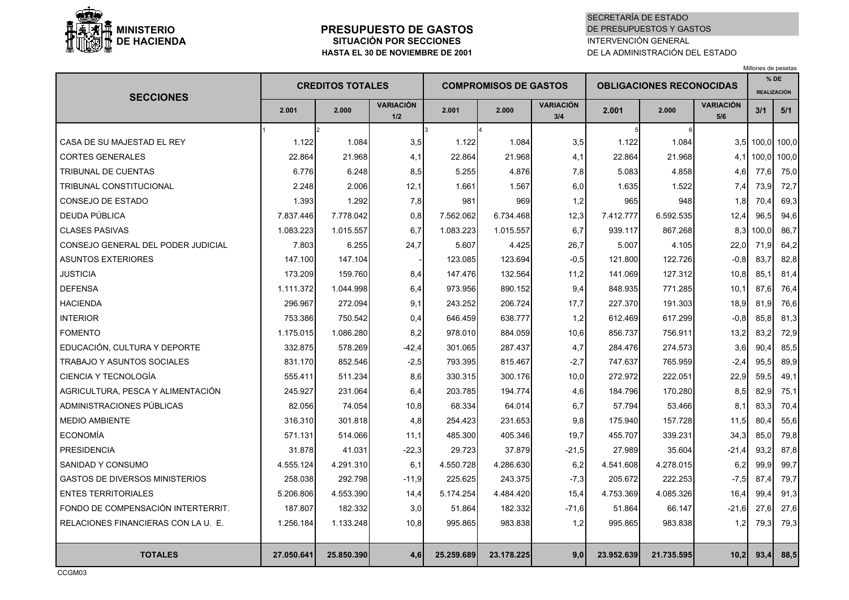

# **PRESUPUESTO DE GASTOSSITUACIÓN POR SECCIONES HASTA EL 30 DE NOVIEMBRE DE 2001**

# SECRETARÍA DE ESTADODE PRESUPUESTOS Y GASTOS INTERVENCIÓN GENERALDE LA ADMINISTRACIÓN DEL ESTADO

Millones de pesetas

|                                       |            | <b>CREDITOS TOTALES</b> |                         |            | <b>COMPROMISOS DE GASTOS</b> |                         | <b>OBLIGACIONES RECONOCIDAS</b> |            |                         |             | $%$ DE<br><b>REALIZACIÓN</b> |
|---------------------------------------|------------|-------------------------|-------------------------|------------|------------------------------|-------------------------|---------------------------------|------------|-------------------------|-------------|------------------------------|
| <b>SECCIONES</b>                      | 2.001      | 2.000                   | <b>VARIACIÓN</b><br>1/2 | 2.001      | 2.000                        | <b>VARIACIÓN</b><br>3/4 | 2.001                           | 2.000      | <b>VARIACIÓN</b><br>5/6 | 3/1         | 5/1                          |
|                                       |            |                         |                         | 3          |                              |                         | 5                               |            |                         |             |                              |
| CASA DE SU MAJESTAD EL REY            | 1.122      | 1.084                   | 3,5                     | 1.122      | 1.084                        | 3,5                     | 1.122                           | 1.084      |                         | $3,5$ 100,0 | 100,0                        |
| <b>CORTES GENERALES</b>               | 22.864     | 21.968                  | 4,1                     | 22.864     | 21.968                       | 4,1                     | 22.864                          | 21.968     |                         | 4,1 100,0   | 100,0                        |
| <b>TRIBUNAL DE CUENTAS</b>            | 6.776      | 6.248                   | 8,5                     | 5.255      | 4.876                        | 7,8                     | 5.083                           | 4.858      | 4,6                     | 77.6        | 75,0                         |
| TRIBUNAL CONSTITUCIONAL               | 2.248      | 2.006                   | 12,1                    | 1.661      | 1.567                        | 6,0                     | 1.635                           | 1.522      | 7,4                     | 73,9        | 72,7                         |
| CONSEJO DE ESTADO                     | 1.393      | 1.292                   | 7,8                     | 981        | 969                          | 1,2                     | 965                             | 948        | 1,8                     | 70,4        | 69,3                         |
| DEUDA PÚBLICA                         | 7.837.446  | 7.778.042               | 0,8                     | 7.562.062  | 6.734.468                    | 12,3                    | 7.412.777                       | 6.592.535  | 12,4                    | 96,5        | 94,6                         |
| <b>CLASES PASIVAS</b>                 | 1.083.223  | 1.015.557               | 6,7                     | 1.083.223  | 1.015.557                    | 6,7                     | 939.117                         | 867.268    |                         | 8,3 100,0   | 86,7                         |
| CONSEJO GENERAL DEL PODER JUDICIAL    | 7.803      | 6.255                   | 24,7                    | 5.607      | 4.425                        | 26,7                    | 5.007                           | 4.105      | 22,0                    | 71,9        | 64,2                         |
| <b>ASUNTOS EXTERIORES</b>             | 147.100    | 147.104                 |                         | 123.085    | 123.694                      | $-0,5$                  | 121.800                         | 122.726    | $-0.8$                  | 83,7        | 82,8                         |
| <b>JUSTICIA</b>                       | 173.209    | 159.760                 | 8,4                     | 147.476    | 132.564                      | 11,2                    | 141.069                         | 127.312    | 10,8                    | 85,1        | 81,4                         |
| <b>DEFENSA</b>                        | 1.111.372  | 1.044.998               | 6,4                     | 973.956    | 890.152                      | 9,4                     | 848.935                         | 771.285    | 10,1                    | 87.6        | 76,4                         |
| <b>HACIENDA</b>                       | 296.967    | 272.094                 | 9,1                     | 243.252    | 206.724                      | 17,7                    | 227.370                         | 191.303    | 18,9                    | 81,9        | 76,6                         |
| <b>INTERIOR</b>                       | 753.386    | 750.542                 | 0,4                     | 646.459    | 638.777                      | 1,2                     | 612.469                         | 617.299    | $-0.8$                  | 85,8        | 81,3                         |
| <b>FOMENTO</b>                        | 1.175.015  | 1.086.280               | 8,2                     | 978.010    | 884.059                      | 10,6                    | 856.737                         | 756.911    | 13,2                    | 83,2        | 72,9                         |
| EDUCACIÓN, CULTURA Y DEPORTE          | 332.875    | 578.269                 | $-42,4$                 | 301.065    | 287.437                      | 4,7                     | 284.476                         | 274.573    | 3,6                     | 90.4        | 85,5                         |
| <b>TRABAJO Y ASUNTOS SOCIALES</b>     | 831.170    | 852.546                 | $-2,5$                  | 793.395    | 815.467                      | $-2,7$                  | 747.637                         | 765.959    | $-2,4$                  | 95,5        | 89,9                         |
| CIENCIA Y TECNOLOGÍA                  | 555.411    | 511.234                 | 8,6                     | 330.315    | 300.176                      | 10,0                    | 272.972                         | 222.051    | 22.9                    | 59,5        | 49,1                         |
| AGRICULTURA, PESCA Y ALIMENTACIÓN     | 245.927    | 231.064                 | 6,4                     | 203.785    | 194.774                      | 4,6                     | 184.796                         | 170.280    | 8,5                     | 82,9        | 75,1                         |
| ADMINISTRACIONES PÚBLICAS             | 82.056     | 74.054                  | 10,8                    | 68.334     | 64.014                       | 6,7                     | 57.794                          | 53.466     | 8.1                     | 83,3        | 70,4                         |
| <b>MEDIO AMBIENTE</b>                 | 316.310    | 301.818                 | 4,8                     | 254.423    | 231.653                      | 9,8                     | 175.940                         | 157.728    | 11,5                    | 80,4        | 55,6                         |
| <b>ECONOMÍA</b>                       | 571.131    | 514.066                 | 11,1                    | 485.300    | 405.346                      | 19,7                    | 455.707                         | 339.231    | 34,3                    | 85,0        | 79,8                         |
| <b>PRESIDENCIA</b>                    | 31.878     | 41.031                  | $-22,3$                 | 29.723     | 37.879                       | $-21,5$                 | 27.989                          | 35.604     | $-21,4$                 | 93,2        | 87,8                         |
| SANIDAD Y CONSUMO                     | 4.555.124  | 4.291.310               | 6,1                     | 4.550.728  | 4.286.630                    | 6,2                     | 4.541.608                       | 4.278.015  | 6,2                     | 99,9        | 99,7                         |
| <b>GASTOS DE DIVERSOS MINISTERIOS</b> | 258.038    | 292.798                 | $-11,9$                 | 225.625    | 243.375                      | $-7,3$                  | 205.672                         | 222.253    | $-7,5$                  | 87,4        | 79,7                         |
| <b>ENTES TERRITORIALES</b>            | 5.206.806  | 4.553.390               | 14,4                    | 5.174.254  | 4.484.420                    | 15,4                    | 4.753.369                       | 4.085.326  | 16,4                    | 99.4        | 91,3                         |
| FONDO DE COMPENSACIÓN INTERTERRIT.    | 187.807    | 182.332                 | 3,0                     | 51.864     | 182.332                      | $-71,6$                 | 51.864                          | 66.147     | $-21,6$                 | 27,6        | 27,6                         |
| RELACIONES FINANCIERAS CON LA U. E.   | 1.256.184  | 1.133.248               | 10,8                    | 995.865    | 983.838                      | 1,2                     | 995.865                         | 983.838    | 1,2                     | 79,3        | 79,3                         |
|                                       |            |                         |                         |            |                              |                         |                                 |            |                         |             |                              |
| <b>TOTALES</b>                        | 27.050.641 | 25.850.390              | 4,6                     | 25.259.689 | 23.178.225                   | 9,0                     | 23.952.639                      | 21.735.595 | 10,2                    | 93,4        | 88,5                         |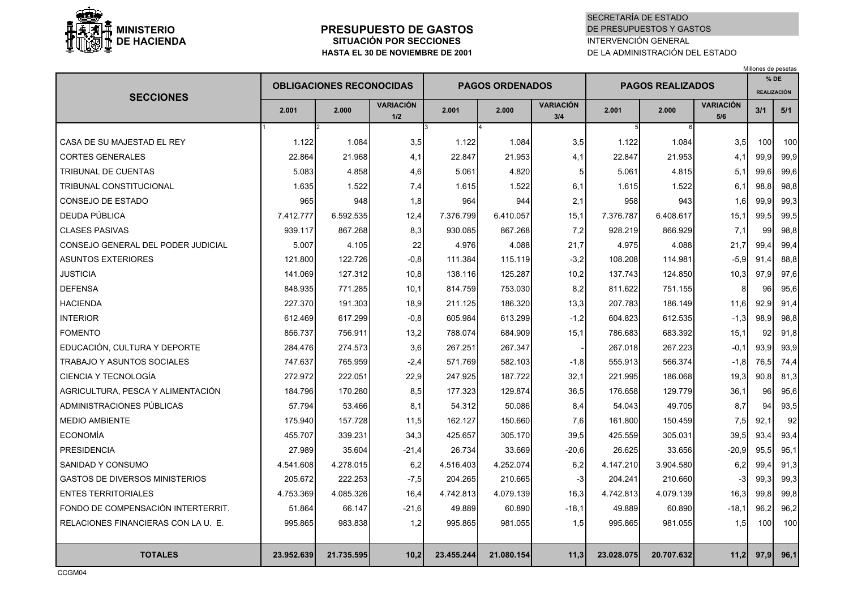

### **PRESUPUESTO DE GASTOSSITUACIÓN POR SECCIONESHASTA EL 30 DE NOVIEMBRE DE 2001**

### SECRETARÍA DE ESTADODE PRESUPUESTOS Y GASTOSINTERVENCIÓN GENERALDE LA ADMINISTRACIÓN DEL ESTADO

Millones de pesetas

**VARIACIÓN VARIACIÓN VARIACIÓN1/2 3/4 5/6**1 2 13 4 15 5 6 CASA DE SU MAJESTAD EL REY 1.122 1.084 3,5 1.122 1.084 3,5 1.122 1.084 3,5 100 100 CORTES GENERALES 22.864 21.968 4,1 22.847 21.953 4,1 22.847 21.953 4,1 99,9 99,9 TRIBUNAL DE CUENTAS 5.083 4.858 4,6 5.061 4.820 5 5.061 4.815 5,1 99,6 99,6 TRIBUNAL CONSTITUCIONAL 1.635 1.522 7,4 1.615 1.522 6,1 1.615 1.522 6,1 98,8 98,8 CONSEJO DE ESTADO 965 948 1,8 964 944 2,1 958 943 1,6 99,9 99,3 DEUDA PÚBLICA 7.412.777 6.592.535 12,4 7.376.799 6.410.057 15,1 7.376.787 6.408.617 15,1 99,5 99,5 CLASES PASIVAS 939.117 867.268 8,3 930.085 867.268 7,2 928.219 866.929 7,1 99 98,8 CONSEJO GENERAL DEL PODER JUDICIAL 5.007 4.105 22 4.976 4.088 21,7 4.975 4.088 21,7 99,4 99,4 ASUNTOS EXTERIORES 121.800 122.726 -0,8 111.384 115.119 -3,2 108.208 114.981 -5,9 91,4 88,8 JUSTICIA 141.069 127.312 10,8 138.116 125.287 10,2 137.743 124.850 10,3 97,9 97,6 DEFENSA 848.935 771.285 10,1 814.759 753.030 8,2 811.622 751.155 8 96 95,6 HACIENDA 227.370 191.303 18,9 211.125 186.320 13,3 207.783 186.149 11,6 92,9 91,4 INTERIOR 612.469 617.299 -0,8 605.984 613.299 -1,2 604.823 612.535 -1,3 98,9 98,8 FOMENTO 856.737 756.911 13,2 788.074 684.909 15,1 786.683 683.392 15,1 92 91,8 EDUCACIÓN, CULTURA Y DEPORTE 284.476 274.573 3,6 267.251 267.347 - 267.018 267.223 -0,1 93,9 93,9 TRABAJO Y ASUNTOS SOCIALES 747.637 765.959 -2,4 571.769 582.103 -1,8 555.913 566.374 -1,8 76,5 74,4 CIENCIA Y TECNOLOGÍA 272.972 222.051 22,9 247.925 187.722 32,1 221.995 186.068 19,3 90,8 81,3 AGRICULTURA, PESCA Y ALIMENTACIÓN 184.796 170.280 8,5 177.323 129.874 36,5 176.658 129.779 36,1 96 95,6 ADMINISTRACIONES PÚBLICAS 57.794 53.466 8,1 54.312 50.086 8,4 54.043 49.705 8,7 94 93,5 MEDIO AMBIENTE 175.940 157.728 11,5 162.127 150.660 7,6 161.800 150.459 7,5 92,1 92 ECONOMÍA 455.707 339.231 34,3 425.657 305.170 39,5 425.559 305.031 39,5 93,4 93,4 PRESIDENCIA 27.989 35.604 -21,4 26.734 33.669 -20,6 26.625 33.656 -20,9 95,5 95,1 SANIDAD Y CONSUMO 4.541.608 4.278.015 6.2 4.516.403 4.252.074 6.2 4.147.210 3.904.580 6.2 99.4 91.3 GASTOS DE DIVERSOS MINISTERIOS | 205.672 222.253 -7,5 204.265 210.665 -3 204.241 210.660 -3 99,3 99,3 ENTES TERRITORIALES 4.753.369 4.085.326 16,4 4.742.813 4.079.139 16,3 4.742.813 4.079.139 16,3 99,8 99,8 FONDO DE COMPENSACIÓN INTERTERRIT. 51.864 66.147 -21,6 49.889 60.890 -18,1 49.889 60.890 -18,1 96,2 96,2 RELACIONES FINANCIERAS CON LA U. E. 995.865 983.838 1,2 995.865 981.055 1,5 995.865 981.055 1,5 100 100 TOTALES | 23.952.639| 21.735.595| 10,2| 23.455.244| 21.080.154| 11,3| 23.028.075| 20.707.632| 11,2| 97,9| 96,1 **2.001**2.000  $\frac{\text{VARTATION}}{5/6}$  3/1 **PAGOS ORDENADOS PAGOS REALIZADOS2.001% DEREALIZACIÓN2.0000 1 11.2.001 5/1 5/1 5/1 5/1 5/1 SECCIONES2.001 2.000OBLIGACIONES RECONOCIDAS**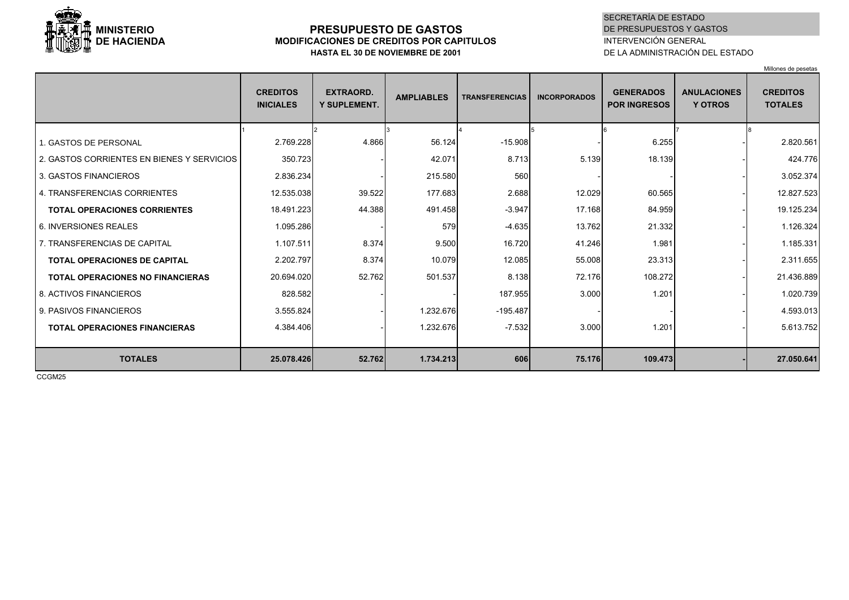

# **PRESUPUESTO DE GASTOS MODIFICACIONES DE CREDITOS POR CAPITULOS HASTA EL 30 DE NOVIEMBRE DE 2001**

### SECRETARÍA DE ESTADODE PRESUPUESTOS Y GASTOS INTERVENCIÓN GENERALDE LA ADMINISTRACIÓN DEL ESTADO

27.050.641

|                                            |                                     |                                         |                   |                       |                     |                                         |                                      | Millones de pesetas               |
|--------------------------------------------|-------------------------------------|-----------------------------------------|-------------------|-----------------------|---------------------|-----------------------------------------|--------------------------------------|-----------------------------------|
|                                            | <b>CREDITOS</b><br><b>INICIALES</b> | <b>EXTRAORD.</b><br><b>Y SUPLEMENT.</b> | <b>AMPLIABLES</b> | <b>TRANSFERENCIAS</b> | <b>INCORPORADOS</b> | <b>GENERADOS</b><br><b>POR INGRESOS</b> | <b>ANULACIONES</b><br><b>Y OTROS</b> | <b>CREDITOS</b><br><b>TOTALES</b> |
|                                            |                                     |                                         |                   |                       |                     |                                         |                                      |                                   |
| 1. GASTOS DE PERSONAL                      | 2.769.228                           | 4.866                                   | 56.124            | $-15.908$             |                     | 6.255                                   |                                      | 2.820.561                         |
| 2. GASTOS CORRIENTES EN BIENES Y SERVICIOS | 350.723                             |                                         | 42.071            | 8.713                 | 5.139               | 18.139                                  |                                      | 424.776                           |
| 3. GASTOS FINANCIEROS                      | 2.836.234                           |                                         | 215.580           | 560                   |                     |                                         |                                      | 3.052.374                         |
| 4. TRANSFERENCIAS CORRIENTES               | 12.535.038                          | 39.522                                  | 177.683           | 2.688                 | 12.029              | 60.565                                  |                                      | 12.827.523                        |
| <b>TOTAL OPERACIONES CORRIENTES</b>        | 18.491.223                          | 44.388                                  | 491.458           | $-3.947$              | 17.168              | 84.959                                  |                                      | 19.125.234                        |
| 6. INVERSIONES REALES                      | 1.095.286                           |                                         | 579               | $-4.635$              | 13.762              | 21.332                                  |                                      | 1.126.324                         |
| 7. TRANSFERENCIAS DE CAPITAL               | 1.107.511                           | 8.374                                   | 9.500             | 16.720                | 41.246              | 1.981                                   |                                      | 1.185.331                         |
| <b>TOTAL OPERACIONES DE CAPITAL</b>        | 2.202.797                           | 8.374                                   | 10.079            | 12.085                | 55.008              | 23.313                                  |                                      | 2.311.655                         |
| <b>TOTAL OPERACIONES NO FINANCIERAS</b>    | 20.694.020                          | 52.762                                  | 501.537           | 8.138                 | 72.176              | 108.272                                 |                                      | 21.436.889                        |
| 8. ACTIVOS FINANCIEROS                     | 828.582                             |                                         |                   | 187.955               | 3.000               | 1.201                                   |                                      | 1.020.739                         |
| 9. PASIVOS FINANCIEROS                     | 3.555.824                           |                                         | 1.232.676         | $-195.487$            |                     |                                         |                                      | 4.593.013                         |
| <b>TOTAL OPERACIONES FINANCIERAS</b>       | 4.384.406                           |                                         | 1.232.676         | $-7.532$              | 3.000               | 1.201                                   |                                      | 5.613.752                         |

**TOTALES 25.078.426 52.762 1.734.213 606 75.176 109.473 - 27.050.641**

CCGM25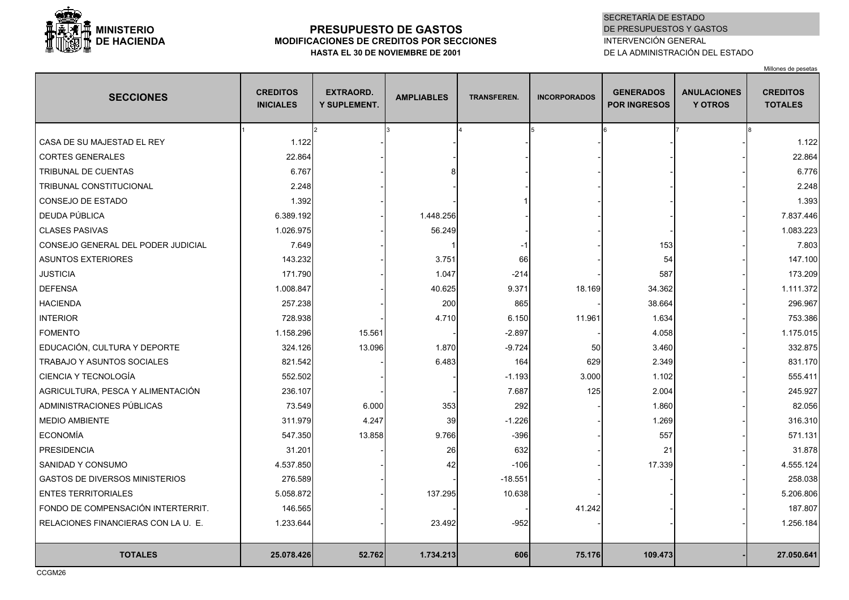

# **PRESUPUESTO DE GASTOS MODIFICACIONES DE CREDITOS POR SECCIONES HASTA EL 30 DE NOVIEMBRE DE 2001**

# SECRETARÍA DE ESTADODE PRESUPUESTOS Y GASTOS INTERVENCIÓN GENERALDE LA ADMINISTRACIÓN DEL ESTADO

Millones de pesetas

| <b>SECCIONES</b>                      | <b>CREDITOS</b><br><b>INICIALES</b> | <b>EXTRAORD.</b><br>Y SUPLEMENT. | <b>AMPLIABLES</b> | <b>TRANSFEREN.</b> | <b>INCORPORADOS</b> | <b>GENERADOS</b><br><b>POR INGRESOS</b> | <b>ANULACIONES</b><br><b>Y OTROS</b> | <b>CREDITOS</b><br><b>TOTALES</b> |
|---------------------------------------|-------------------------------------|----------------------------------|-------------------|--------------------|---------------------|-----------------------------------------|--------------------------------------|-----------------------------------|
|                                       |                                     |                                  |                   |                    |                     |                                         |                                      |                                   |
| CASA DE SU MAJESTAD EL REY            | 1.122                               |                                  |                   |                    |                     |                                         |                                      | 1.122                             |
| <b>CORTES GENERALES</b>               | 22.864                              |                                  |                   |                    |                     |                                         |                                      | 22.864                            |
| TRIBUNAL DE CUENTAS                   | 6.767                               |                                  |                   |                    |                     |                                         |                                      | 6.776                             |
| TRIBUNAL CONSTITUCIONAL               | 2.248                               |                                  |                   |                    |                     |                                         |                                      | 2.248                             |
| <b>CONSEJO DE ESTADO</b>              | 1.392                               |                                  |                   |                    |                     |                                         |                                      | 1.393                             |
| DEUDA PÚBLICA                         | 6.389.192                           |                                  | 1.448.256         |                    |                     |                                         |                                      | 7.837.446                         |
| <b>CLASES PASIVAS</b>                 | 1.026.975                           |                                  | 56.249            |                    |                     |                                         |                                      | 1.083.223                         |
| CONSEJO GENERAL DEL PODER JUDICIAL    | 7.649                               |                                  | 1                 |                    |                     | 153                                     |                                      | 7.803                             |
| <b>ASUNTOS EXTERIORES</b>             | 143.232                             |                                  | 3.751             | 66                 |                     | 54                                      |                                      | 147.100                           |
| <b>JUSTICIA</b>                       | 171.790                             |                                  | 1.047             | $-214$             |                     | 587                                     |                                      | 173.209                           |
| <b>DEFENSA</b>                        | 1.008.847                           |                                  | 40.625            | 9.371              | 18.169              | 34.362                                  |                                      | 1.111.372                         |
| <b>HACIENDA</b>                       | 257.238                             |                                  | 200               | 865                |                     | 38.664                                  |                                      | 296.967                           |
| <b>INTERIOR</b>                       | 728.938                             |                                  | 4.710             | 6.150              | 11.961              | 1.634                                   |                                      | 753.386                           |
| <b>FOMENTO</b>                        | 1.158.296                           | 15.561                           |                   | $-2.897$           |                     | 4.058                                   |                                      | 1.175.015                         |
| EDUCACIÓN, CULTURA Y DEPORTE          | 324.126                             | 13.096                           | 1.870             | $-9.724$           | 50                  | 3.460                                   |                                      | 332.875                           |
| <b>TRABAJO Y ASUNTOS SOCIALES</b>     | 821.542                             |                                  | 6.483             | 164                | 629                 | 2.349                                   |                                      | 831.170                           |
| CIENCIA Y TECNOLOGÍA                  | 552.502                             |                                  |                   | $-1.193$           | 3.000               | 1.102                                   |                                      | 555.411                           |
| AGRICULTURA, PESCA Y ALIMENTACIÓN     | 236.107                             |                                  |                   | 7.687              | 125                 | 2.004                                   |                                      | 245.927                           |
| ADMINISTRACIONES PÚBLICAS             | 73.549                              | 6.000                            | 353               | 292                |                     | 1.860                                   |                                      | 82.056                            |
| <b>MEDIO AMBIENTE</b>                 | 311.979                             | 4.247                            | 39                | $-1.226$           |                     | 1.269                                   |                                      | 316.310                           |
| <b>ECONOMÍA</b>                       | 547.350                             | 13.858                           | 9.766             | $-396$             |                     | 557                                     |                                      | 571.131                           |
| PRESIDENCIA                           | 31.201                              |                                  | 26                | 632                |                     | 21                                      |                                      | 31.878                            |
| SANIDAD Y CONSUMO                     | 4.537.850                           |                                  | 42                | $-106$             |                     | 17.339                                  |                                      | 4.555.124                         |
| <b>GASTOS DE DIVERSOS MINISTERIOS</b> | 276.589                             |                                  |                   | $-18.551$          |                     |                                         |                                      | 258.038                           |
| <b>ENTES TERRITORIALES</b>            | 5.058.872                           |                                  | 137.295           | 10.638             |                     |                                         |                                      | 5.206.806                         |
| FONDO DE COMPENSACIÓN INTERTERRIT.    | 146.565                             |                                  |                   |                    | 41.242              |                                         |                                      | 187.807                           |
| RELACIONES FINANCIERAS CON LA U. E.   | 1.233.644                           |                                  | 23.492            | $-952$             |                     |                                         |                                      | 1.256.184                         |
|                                       |                                     |                                  |                   |                    |                     |                                         |                                      |                                   |
| <b>TOTALES</b>                        | 25.078.426                          | 52.762                           | 1.734.213         | 606                | 75.176              | 109.473                                 |                                      | 27.050.641                        |